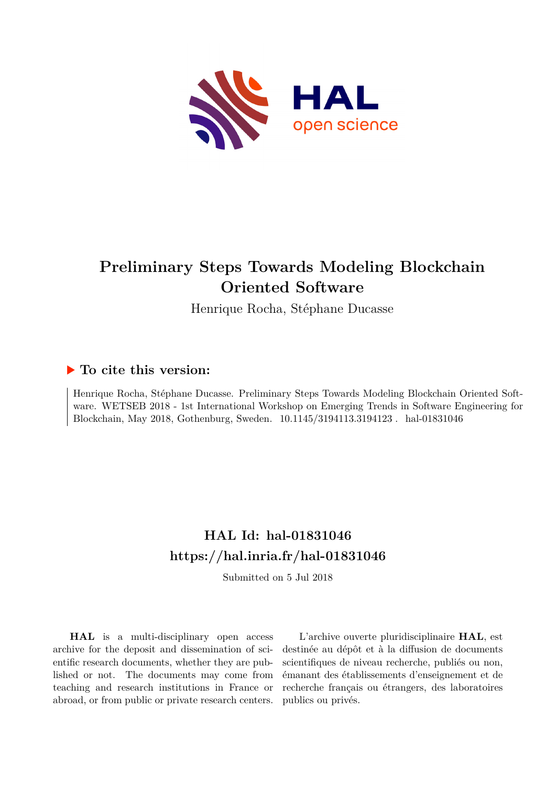

# **Preliminary Steps Towards Modeling Blockchain Oriented Software**

Henrique Rocha, Stéphane Ducasse

# **To cite this version:**

Henrique Rocha, Stéphane Ducasse. Preliminary Steps Towards Modeling Blockchain Oriented Software. WETSEB 2018 - 1st International Workshop on Emerging Trends in Software Engineering for Blockchain, May 2018, Gothenburg, Sweden.  $10.1145/3194113.3194123$ . hal-01831046

# **HAL Id: hal-01831046 <https://hal.inria.fr/hal-01831046>**

Submitted on 5 Jul 2018

**HAL** is a multi-disciplinary open access archive for the deposit and dissemination of scientific research documents, whether they are published or not. The documents may come from teaching and research institutions in France or abroad, or from public or private research centers.

L'archive ouverte pluridisciplinaire **HAL**, est destinée au dépôt et à la diffusion de documents scientifiques de niveau recherche, publiés ou non, émanant des établissements d'enseignement et de recherche français ou étrangers, des laboratoires publics ou privés.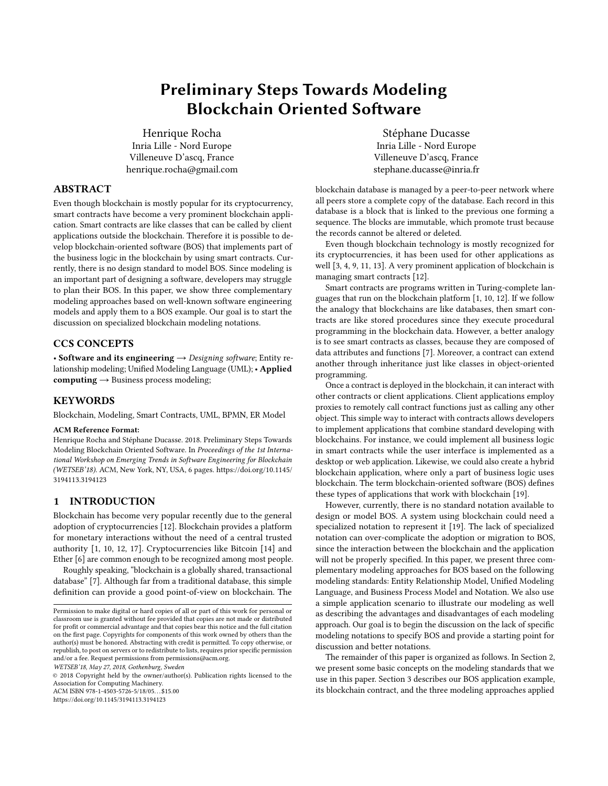# Preliminary Steps Towards Modeling Blockchain Oriented Software

Henrique Rocha Inria Lille - Nord Europe Villeneuve D'ascq, France henrique.rocha@gmail.com

#### ABSTRACT

Even though blockchain is mostly popular for its cryptocurrency, smart contracts have become a very prominent blockchain application. Smart contracts are like classes that can be called by client applications outside the blockchain. Therefore it is possible to develop blockchain-oriented software (BOS) that implements part of the business logic in the blockchain by using smart contracts. Currently, there is no design standard to model BOS. Since modeling is an important part of designing a software, developers may struggle to plan their BOS. In this paper, we show three complementary modeling approaches based on well-known software engineering models and apply them to a BOS example. Our goal is to start the discussion on specialized blockchain modeling notations.

## CCS CONCEPTS

• Software and its engineering  $\rightarrow$  Designing software; Entity relationship modeling; Unified Modeling Language (UML); • Applied **computing**  $\rightarrow$  Business process modeling;

#### **KEYWORDS**

Blockchain, Modeling, Smart Contracts, UML, BPMN, ER Model

#### ACM Reference Format:

Henrique Rocha and Stéphane Ducasse. 2018. Preliminary Steps Towards Modeling Blockchain Oriented Software. In Proceedings of the 1st International Workshop on Emerging Trends in Software Engineering for Blockchain (WETSEB'18). ACM, New York, NY, USA, 6 pages. [https://doi.org/10.1145/](https://doi.org/10.1145/3194113.3194123) [3194113.3194123](https://doi.org/10.1145/3194113.3194123)

#### 1 INTRODUCTION

Blockchain has become very popular recently due to the general adoption of cryptocurrencies [12]. Blockchain provides a platform for monetary interactions without the need of a central trusted authority [1, 10, 12, 17]. Cryptocurrencies like Bitcoin [14] and Ether [6] are common enough to be recognized among most people.

Roughly speaking, "blockchain is a globally shared, transactional database" [7]. Although far from a traditional database, this simple definition can provide a good point-of-view on blockchain. The

```
WETSEB'18, May 27, 2018, Gothenburg, Sweden
```
© 2018 Copyright held by the owner/author(s). Publication rights licensed to the Association for Computing Machinery. ACM ISBN 978-1-4503-5726-5/18/05. . . \$15.00

<https://doi.org/10.1145/3194113.3194123>

Stéphane Ducasse Inria Lille - Nord Europe Villeneuve D'ascq, France stephane.ducasse@inria.fr

blockchain database is managed by a peer-to-peer network where all peers store a complete copy of the database. Each record in this database is a block that is linked to the previous one forming a sequence. The blocks are immutable, which promote trust because the records cannot be altered or deleted.

Even though blockchain technology is mostly recognized for its cryptocurrencies, it has been used for other applications as well [3, 4, 9, 11, 13]. A very prominent application of blockchain is managing smart contracts [12].

Smart contracts are programs written in Turing-complete languages that run on the blockchain platform [1, 10, 12]. If we follow the analogy that blockchains are like databases, then smart contracts are like stored procedures since they execute procedural programming in the blockchain data. However, a better analogy is to see smart contracts as classes, because they are composed of data attributes and functions [7]. Moreover, a contract can extend another through inheritance just like classes in object-oriented programming.

Once a contract is deployed in the blockchain, it can interact with other contracts or client applications. Client applications employ proxies to remotely call contract functions just as calling any other object. This simple way to interact with contracts allows developers to implement applications that combine standard developing with blockchains. For instance, we could implement all business logic in smart contracts while the user interface is implemented as a desktop or web application. Likewise, we could also create a hybrid blockchain application, where only a part of business logic uses blockchain. The term blockchain-oriented software (BOS) defines these types of applications that work with blockchain [19].

However, currently, there is no standard notation available to design or model BOS. A system using blockchain could need a specialized notation to represent it [19]. The lack of specialized notation can over-complicate the adoption or migration to BOS, since the interaction between the blockchain and the application will not be properly specified. In this paper, we present three complementary modeling approaches for BOS based on the following modeling standards: Entity Relationship Model, Unified Modeling Language, and Business Process Model and Notation. We also use a simple application scenario to illustrate our modeling as well as describing the advantages and disadvantages of each modeling approach. Our goal is to begin the discussion on the lack of specific modeling notations to specify BOS and provide a starting point for discussion and better notations.

The remainder of this paper is organized as follows. In Section 2, we present some basic concepts on the modeling standards that we use in this paper. Section 3 describes our BOS application example, its blockchain contract, and the three modeling approaches applied

Permission to make digital or hard copies of all or part of this work for personal or classroom use is granted without fee provided that copies are not made or distributed for profit or commercial advantage and that copies bear this notice and the full citation on the first page. Copyrights for components of this work owned by others than the author(s) must be honored. Abstracting with credit is permitted. To copy otherwise, or republish, to post on servers or to redistribute to lists, requires prior specific permission and/or a fee. Request permissions from permissions@acm.org.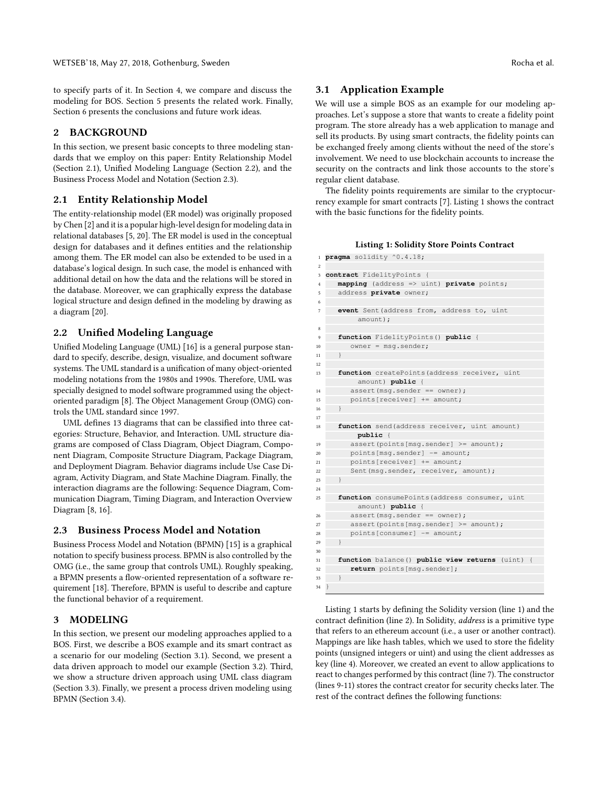to specify parts of it. In Section 4, we compare and discuss the modeling for BOS. Section 5 presents the related work. Finally, Section 6 presents the conclusions and future work ideas.

#### 2 BACKGROUND

In this section, we present basic concepts to three modeling standards that we employ on this paper: Entity Relationship Model (Section 2.1), Unified Modeling Language (Section 2.2), and the Business Process Model and Notation (Section 2.3).

#### 2.1 Entity Relationship Model

The entity-relationship model (ER model) was originally proposed by Chen [2] and it is a popular high-level design for modeling data in relational databases [5, 20]. The ER model is used in the conceptual design for databases and it defines entities and the relationship among them. The ER model can also be extended to be used in a database's logical design. In such case, the model is enhanced with additional detail on how the data and the relations will be stored in the database. Moreover, we can graphically express the database logical structure and design defined in the modeling by drawing as a diagram [20].

### 2.2 Unified Modeling Language

Unified Modeling Language (UML) [16] is a general purpose standard to specify, describe, design, visualize, and document software systems. The UML standard is a unification of many object-oriented modeling notations from the 1980s and 1990s. Therefore, UML was specially designed to model software programmed using the objectoriented paradigm [8]. The Object Management Group (OMG) controls the UML standard since 1997.

UML defines 13 diagrams that can be classified into three categories: Structure, Behavior, and Interaction. UML structure diagrams are composed of Class Diagram, Object Diagram, Component Diagram, Composite Structure Diagram, Package Diagram, and Deployment Diagram. Behavior diagrams include Use Case Diagram, Activity Diagram, and State Machine Diagram. Finally, the interaction diagrams are the following: Sequence Diagram, Communication Diagram, Timing Diagram, and Interaction Overview Diagram [8, 16].

#### 2.3 Business Process Model and Notation

Business Process Model and Notation (BPMN) [15] is a graphical notation to specify business process. BPMN is also controlled by the OMG (i.e., the same group that controls UML). Roughly speaking, a BPMN presents a flow-oriented representation of a software requirement [18]. Therefore, BPMN is useful to describe and capture the functional behavior of a requirement.

#### 3 MODELING

In this section, we present our modeling approaches applied to a BOS. First, we describe a BOS example and its smart contract as a scenario for our modeling (Section 3.1). Second, we present a data driven approach to model our example (Section 3.2). Third, we show a structure driven approach using UML class diagram (Section 3.3). Finally, we present a process driven modeling using BPMN (Section 3.4).

#### 3.1 Application Example

We will use a simple BOS as an example for our modeling approaches. Let's suppose a store that wants to create a fidelity point program. The store already has a web application to manage and sell its products. By using smart contracts, the fidelity points can be exchanged freely among clients without the need of the store's involvement. We need to use blockchain accounts to increase the security on the contracts and link those accounts to the store's regular client database.

The fidelity points requirements are similar to the cryptocurrency example for smart contracts [7]. Listing 1 shows the contract with the basic functions for the fidelity points.

#### Listing 1: Solidity Store Points Contract

| $\mathbf{1}$   |               | pragma solidity ^0.4.18;                         |
|----------------|---------------|--------------------------------------------------|
| $\overline{c}$ |               |                                                  |
| 3              |               | contract FidelityPoints {                        |
| $\overline{4}$ |               | mapping (address => uint) private points;        |
| 5              |               | address private owner;                           |
| 6              |               |                                                  |
| 7              |               | event Sent (address from, address to, uint       |
|                |               | amount);                                         |
| 8              |               |                                                  |
| 9              |               | function FidelityPoints() public {               |
| 10             |               | $owner = msg.sender;$                            |
| 11             | $\mathcal{E}$ |                                                  |
| 12             |               |                                                  |
| 13             |               | function createPoints (address receiver, uint    |
|                |               | amount) public {                                 |
| 14             |               | $assert(msq.sender == owner);$                   |
| 15             |               | points [receiver] += amount;                     |
| 16             | ł             |                                                  |
| 17             |               |                                                  |
| 18             |               | function send(address receiver, uint amount)     |
|                |               | public {                                         |
| 19             |               | assert (points [msq.sender] >= amount);          |
| 20             |               | $points[msg.sender]$ -= amount;                  |
| 21             |               | points [receiver] += amount;                     |
| 22             |               | Sent (msg.sender, receiver, amount);             |
| 23             | $\mathcal{F}$ |                                                  |
| 24             |               |                                                  |
| 25             |               | function consumePoints (address consumer, uint   |
|                |               | amount) public {                                 |
| 26             |               | $assert$ (msq. sender == owner);                 |
| 27             |               | assert (points [msq.sender] >= amount);          |
| 28             |               | $points[ consumer]$ -= amount;                   |
| 29             | $\mathcal{E}$ |                                                  |
| 30             |               |                                                  |
| 31             |               | function balance () public view returns (uint) { |
| 32             |               | return points [msq.sender];                      |
| 33             | ł             |                                                  |
| 34             |               |                                                  |

Listing 1 starts by defining the Solidity version (line 1) and the contract definition (line 2). In Solidity, address is a primitive type that refers to an ethereum account (i.e., a user or another contract). Mappings are like hash tables, which we used to store the fidelity points (unsigned integers or uint) and using the client addresses as key (line 4). Moreover, we created an event to allow applications to react to changes performed by this contract (line 7). The constructor (lines 9-11) stores the contract creator for security checks later. The rest of the contract defines the following functions: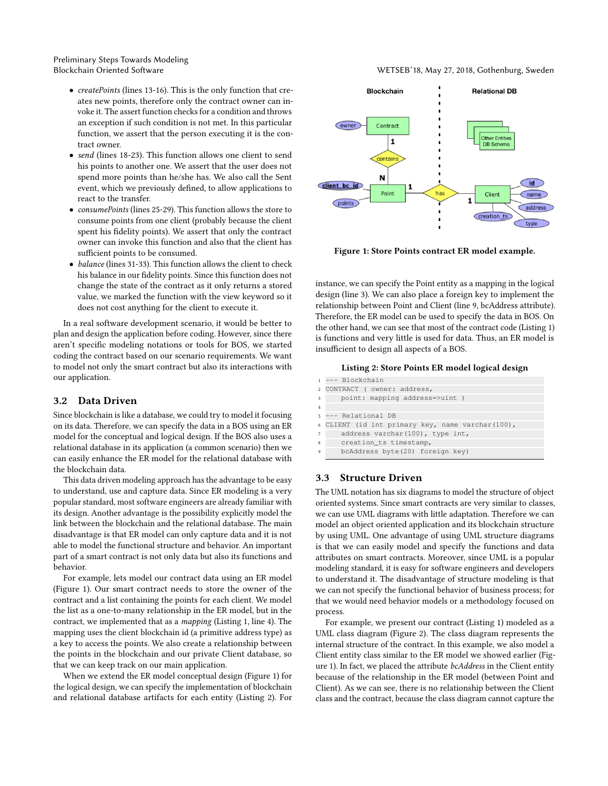Preliminary Steps Towards Modeling

- createPoints (lines 13-16). This is the only function that creates new points, therefore only the contract owner can invoke it. The assert function checks for a condition and throws an exception if such condition is not met. In this particular function, we assert that the person executing it is the contract owner.
- send (lines 18-23). This function allows one client to send his points to another one. We assert that the user does not spend more points than he/she has. We also call the Sent event, which we previously defined, to allow applications to react to the transfer.
- consumePoints (lines 25-29). This function allows the store to consume points from one client (probably because the client spent his fidelity points). We assert that only the contract owner can invoke this function and also that the client has sufficient points to be consumed.
- balance (lines 31-33). This function allows the client to check his balance in our fidelity points. Since this function does not change the state of the contract as it only returns a stored value, we marked the function with the view keyword so it does not cost anything for the client to execute it.

In a real software development scenario, it would be better to plan and design the application before coding. However, since there aren't specific modeling notations or tools for BOS, we started coding the contract based on our scenario requirements. We want to model not only the smart contract but also its interactions with our application.

#### 3.2 Data Driven

Since blockchain is like a database, we could try to model it focusing on its data. Therefore, we can specify the data in a BOS using an ER model for the conceptual and logical design. If the BOS also uses a relational database in its application (a common scenario) then we can easily enhance the ER model for the relational database with the blockchain data.

This data driven modeling approach has the advantage to be easy to understand, use and capture data. Since ER modeling is a very popular standard, most software engineers are already familiar with its design. Another advantage is the possibility explicitly model the link between the blockchain and the relational database. The main disadvantage is that ER model can only capture data and it is not able to model the functional structure and behavior. An important part of a smart contract is not only data but also its functions and behavior.

For example, lets model our contract data using an ER model (Figure 1). Our smart contract needs to store the owner of the contract and a list containing the points for each client. We model the list as a one-to-many relationship in the ER model, but in the contract, we implemented that as a mapping (Listing 1, line 4). The mapping uses the client blockchain id (a primitive address type) as a key to access the points. We also create a relationship between the points in the blockchain and our private Client database, so that we can keep track on our main application.

When we extend the ER model conceptual design (Figure 1) for the logical design, we can specify the implementation of blockchain and relational database artifacts for each entity (Listing 2). For

Blockchain Oriented Software WETSEB'18, May 27, 2018, Gothenburg, Sweden



Figure 1: Store Points contract ER model example.

instance, we can specify the Point entity as a mapping in the logical design (line 3). We can also place a foreign key to implement the relationship between Point and Client (line 9, bcAddress attribute). Therefore, the ER model can be used to specify the data in BOS. On the other hand, we can see that most of the contract code (Listing 1) is functions and very little is used for data. Thus, an ER model is insufficient to design all aspects of a BOS.

#### Listing 2: Store Points ER model logical design

```
1 --- Blockchain
2 CONTRACT ( owner: address,
3 point: mapping address=>uint )
4
5 --- Relational DB
6 CLIENT (id int primary key, name varchar(100),
     address varchar(100), type int,
     creation_ts timestamp,
     9 bcAddress byte(20) foreign key)
```
#### 3.3 Structure Driven

The UML notation has six diagrams to model the structure of object oriented systems. Since smart contracts are very similar to classes, we can use UML diagrams with little adaptation. Therefore we can model an object oriented application and its blockchain structure by using UML. One advantage of using UML structure diagrams is that we can easily model and specify the functions and data attributes on smart contracts. Moreover, since UML is a popular modeling standard, it is easy for software engineers and developers to understand it. The disadvantage of structure modeling is that we can not specify the functional behavior of business process; for that we would need behavior models or a methodology focused on process.

For example, we present our contract (Listing 1) modeled as a UML class diagram (Figure 2). The class diagram represents the internal structure of the contract. In this example, we also model a Client entity class similar to the ER model we showed earlier (Figure 1). In fact, we placed the attribute bcAddress in the Client entity because of the relationship in the ER model (between Point and Client). As we can see, there is no relationship between the Client class and the contract, because the class diagram cannot capture the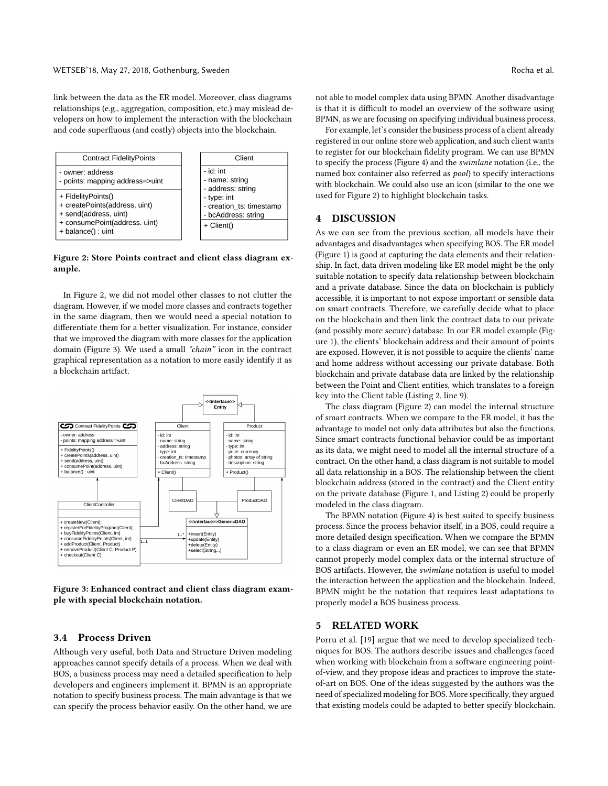link between the data as the ER model. Moreover, class diagrams relationships (e.g., aggregation, composition, etc.) may mislead developers on how to implement the interaction with the blockchain and code superfluous (and costly) objects into the blockchain.



Figure 2: Store Points contract and client class diagram example.

In Figure 2, we did not model other classes to not clutter the diagram. However, if we model more classes and contracts together in the same diagram, then we would need a special notation to differentiate them for a better visualization. For instance, consider that we improved the diagram with more classes for the application domain (Figure 3). We used a small "chain" icon in the contract graphical representation as a notation to more easily identify it as a blockchain artifact.



Figure 3: Enhanced contract and client class diagram example with special blockchain notation.

#### 3.4 Process Driven

Although very useful, both Data and Structure Driven modeling approaches cannot specify details of a process. When we deal with BOS, a business process may need a detailed specification to help developers and engineers implement it. BPMN is an appropriate notation to specify business process. The main advantage is that we can specify the process behavior easily. On the other hand, we are not able to model complex data using BPMN. Another disadvantage is that it is difficult to model an overview of the software using BPMN, as we are focusing on specifying individual business process.

For example, let's consider the business process of a client already registered in our online store web application, and such client wants to register for our blockchain fidelity program. We can use BPMN to specify the process (Figure 4) and the swimlane notation (i.e., the named box container also referred as pool) to specify interactions with blockchain. We could also use an icon (similar to the one we used for Figure 2) to highlight blockchain tasks.

### 4 DISCUSSION

As we can see from the previous section, all models have their advantages and disadvantages when specifying BOS. The ER model (Figure 1) is good at capturing the data elements and their relationship. In fact, data driven modeling like ER model might be the only suitable notation to specify data relationship between blockchain and a private database. Since the data on blockchain is publicly accessible, it is important to not expose important or sensible data on smart contracts. Therefore, we carefully decide what to place on the blockchain and then link the contract data to our private (and possibly more secure) database. In our ER model example (Figure 1), the clients' blockchain address and their amount of points are exposed. However, it is not possible to acquire the clients' name and home address without accessing our private database. Both blockchain and private database data are linked by the relationship between the Point and Client entities, which translates to a foreign key into the Client table (Listing 2, line 9).

The class diagram (Figure 2) can model the internal structure of smart contracts. When we compare to the ER model, it has the advantage to model not only data attributes but also the functions. Since smart contracts functional behavior could be as important as its data, we might need to model all the internal structure of a contract. On the other hand, a class diagram is not suitable to model all data relationship in a BOS. The relationship between the client blockchain address (stored in the contract) and the Client entity on the private database (Figure 1, and Listing 2) could be properly modeled in the class diagram.

The BPMN notation (Figure 4) is best suited to specify business process. Since the process behavior itself, in a BOS, could require a more detailed design specification. When we compare the BPMN to a class diagram or even an ER model, we can see that BPMN cannot properly model complex data or the internal structure of BOS artifacts. However, the swimlane notation is useful to model the interaction between the application and the blockchain. Indeed, BPMN might be the notation that requires least adaptations to properly model a BOS business process.

#### 5 RELATED WORK

Porru et al. [19] argue that we need to develop specialized techniques for BOS. The authors describe issues and challenges faced when working with blockchain from a software engineering pointof-view, and they propose ideas and practices to improve the stateof-art on BOS. One of the ideas suggested by the authors was the need of specialized modeling for BOS. More specifically, they argued that existing models could be adapted to better specify blockchain.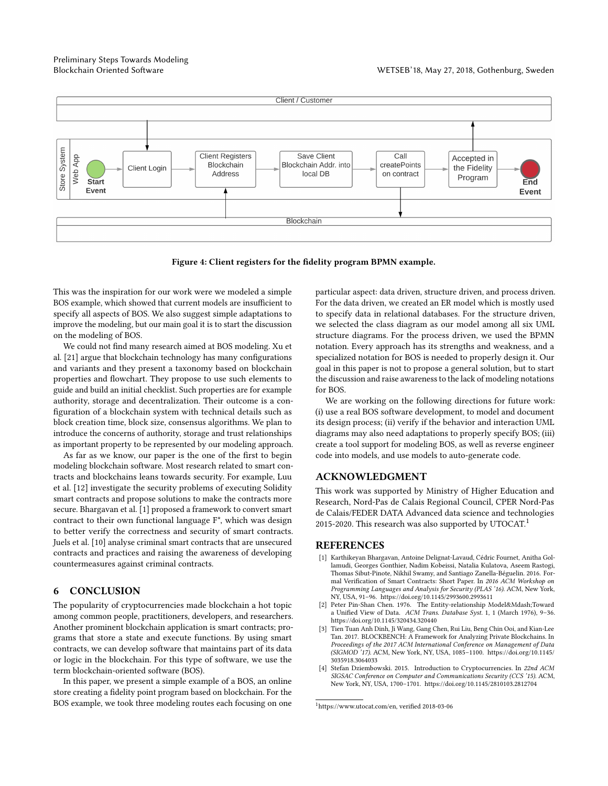# Preliminary Steps Towards Modeling



Figure 4: Client registers for the fidelity program BPMN example.

This was the inspiration for our work were we modeled a simple BOS example, which showed that current models are insufficient to specify all aspects of BOS. We also suggest simple adaptations to improve the modeling, but our main goal it is to start the discussion on the modeling of BOS.

We could not find many research aimed at BOS modeling. Xu et al. [21] argue that blockchain technology has many configurations and variants and they present a taxonomy based on blockchain properties and flowchart. They propose to use such elements to guide and build an initial checklist. Such properties are for example authority, storage and decentralization. Their outcome is a configuration of a blockchain system with technical details such as block creation time, block size, consensus algorithms. We plan to introduce the concerns of authority, storage and trust relationships as important property to be represented by our modeling approach.

As far as we know, our paper is the one of the first to begin modeling blockchain software. Most research related to smart contracts and blockchains leans towards security. For example, Luu et al. [12] investigate the security problems of executing Solidity smart contracts and propose solutions to make the contracts more secure. Bhargavan et al. [1] proposed a framework to convert smart contract to their own functional language F\*, which was design to better verify the correctness and security of smart contracts. Juels et al. [10] analyse criminal smart contracts that are unsecured contracts and practices and raising the awareness of developing countermeasures against criminal contracts.

# 6 CONCLUSION

The popularity of cryptocurrencies made blockchain a hot topic among common people, practitioners, developers, and researchers. Another prominent blockchain application is smart contracts; programs that store a state and execute functions. By using smart contracts, we can develop software that maintains part of its data or logic in the blockchain. For this type of software, we use the term blockchain-oriented software (BOS).

In this paper, we present a simple example of a BOS, an online store creating a fidelity point program based on blockchain. For the BOS example, we took three modeling routes each focusing on one particular aspect: data driven, structure driven, and process driven. For the data driven, we created an ER model which is mostly used to specify data in relational databases. For the structure driven, we selected the class diagram as our model among all six UML structure diagrams. For the process driven, we used the BPMN notation. Every approach has its strengths and weakness, and a specialized notation for BOS is needed to properly design it. Our goal in this paper is not to propose a general solution, but to start the discussion and raise awareness to the lack of modeling notations for BOS.

We are working on the following directions for future work: (i) use a real BOS software development, to model and document its design process; (ii) verify if the behavior and interaction UML diagrams may also need adaptations to properly specify BOS; (iii) create a tool support for modeling BOS, as well as reverse engineer code into models, and use models to auto-generate code.

### ACKNOWLEDGMENT

This work was supported by Ministry of Higher Education and Research, Nord-Pas de Calais Regional Council, CPER Nord-Pas de Calais/FEDER DATA Advanced data science and technologies 2015-2020. This research was also supported by UTOCAT.<sup>1</sup>

## REFERENCES

- [1] Karthikeyan Bhargavan, Antoine Delignat-Lavaud, Cédric Fournet, Anitha Gollamudi, Georges Gonthier, Nadim Kobeissi, Natalia Kulatova, Aseem Rastogi, Thomas Sibut-Pinote, Nikhil Swamy, and Santiago Zanella-Béguelin. 2016. Formal Verification of Smart Contracts: Short Paper. In 2016 ACM Workshop on Programming Languages and Analysis for Security (PLAS '16). ACM, New York, NY, USA, 91–96.<https://doi.org/10.1145/2993600.2993611>
- [2] Peter Pin-Shan Chen. 1976. The Entity-relationship Model&Mdash;Toward a Unified View of Data. ACM Trans. Database Syst. 1, 1 (March 1976), 9–36. <https://doi.org/10.1145/320434.320440>
- [3] Tien Tuan Anh Dinh, Ji Wang, Gang Chen, Rui Liu, Beng Chin Ooi, and Kian-Lee Tan. 2017. BLOCKBENCH: A Framework for Analyzing Private Blockchains. In Proceedings of the 2017 ACM International Conference on Management of Data (SIGMOD '17). ACM, New York, NY, USA, 1085–1100. [https://doi.org/10.1145/](https://doi.org/10.1145/3035918.3064033) [3035918.3064033](https://doi.org/10.1145/3035918.3064033)
- [4] Stefan Dziembowski. 2015. Introduction to Cryptocurrencies. In 22nd ACM SIGSAC Conference on Computer and Communications Security (CCS '15). ACM, New York, NY, USA, 1700–1701.<https://doi.org/10.1145/2810103.2812704>

 $^1\rm{https://www.utocat.com/en, verified}$  $^1\rm{https://www.utocat.com/en, verified}$  $^1\rm{https://www.utocat.com/en, verified}$  2018-03-06